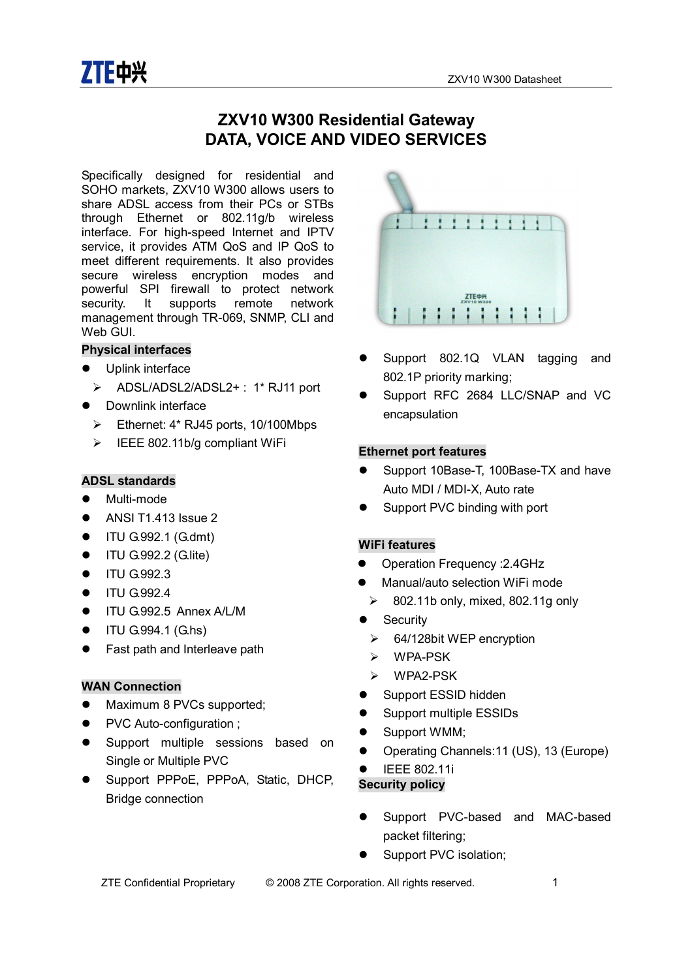

# **ZXV10 W300 Residential Gateway DATA, VOICE AND VIDEO SERVICES**

Specifically designed for residential and SOHO markets, ZXV10 W300 allows users to share ADSL access from their PCs or STBs through Ethernet or 802.11g/b wireless interface. For high-speed Internet and IPTV service, it provides ATM QoS and IP QoS to meet different requirements. It also provides secure wireless encryption modes and powerful SPI firewall to protect network security. It supports remote network management through TR-069, SNMP, CLI and Web GUI.

#### **Physical interfaces**

- Uplink interface
- Ř ADSL/ADSL2/ADSL2+ : 1\* RJ11 port
- Downlink interface
	- $\triangleright$  Ethernet: 4\* RJ45 ports, 10/100Mbps
	- $\triangleright$  IEEE 802.11b/g compliant WiFi

#### **ADSL standards**

- Multi-mode
- $\bullet$  ANSI T1.413 Issue 2
- $\bullet$  ITU G.992.1 (G.dmt)
- $\bullet$  ITU G.992.2 (G.lite)
- $\bullet$  ITU G.992.3
- $\bullet$  ITU G.992.4
- **TU G.992.5 Annex A/L/M**
- $\bullet$  ITU G.994.1 (G.hs)
- Fast path and Interleave path

#### **WAN Connection**

- Maximum 8 PVCs supported;
- PVC Auto-configuration ;
- **•** Support multiple sessions based on Single or Multiple PVC
- Support PPPoE, PPPoA, Static, DHCP, Bridge connection



- Support 802.1Q VLAN tagging and 802.1P priority marking;
- Support RFC 2684 LLC/SNAP and VC encapsulation

#### **Ethernet port features**

- Support 10Base-T, 100Base-TX and have Auto MDI / MDI-X, Auto rate
- Support PVC binding with port

#### **WiFi features**

- Operation Frequency : 2.4GHz
- l Manual/auto selection WiFi mode
	- $\geq$  802.11b only, mixed, 802.11g only
- Security
	- $\triangleright$  64/128bit WEP encryption
	- $\triangleright$  WPA-PSK
	- $\triangleright$  WPA2-PSK
- Support ESSID hidden
- Support multiple ESSIDs
- Support WMM;
- Operating Channels: 11 (US), 13 (Europe)
- **•** IEEE 802.11i

#### **Security policy**

- Support PVC-based and MAC-based packet filtering;
- Support PVC isolation;

ZTE Confidential Proprietary © 2008 ZTE Corporation. All rights reserved. 1